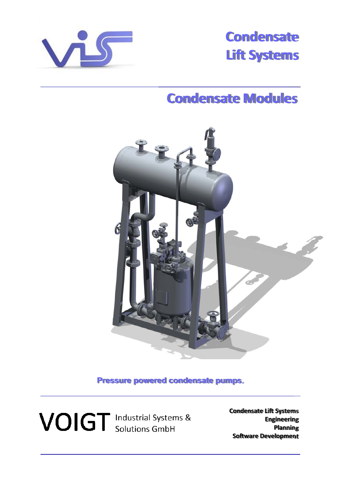

**Condensate Lift Systems** 

**Condensate Modules**



**Pressure powered condensate pumps.**

VOIGT Industrial Systems &

**Condensate Lift Systems Engineering Planning Software Development**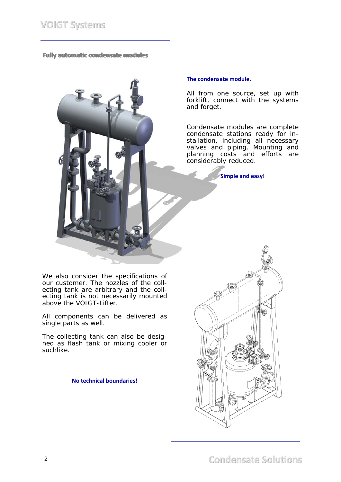**Fully automaƟc condensate modules**



## **The condensate module.**

All from one source, set up with forklift, connect with the systems and forget.

Condensate modules are complete condensate stations ready for installation, including all necessary valves and piping. Mounting and planning costs and efforts are considerably reduced.

**Simple and easy!** 

We also consider the specifications of our customer. The nozzles of the collecting tank are arbitrary and the collecting tank is not necessarily mounted above the VOIGT-Lifter.

All components can be delivered as single parts as well.

The collecting tank can also be designed as flash tank or mixing cooler or suchlike.

**No technical boundaries!** 

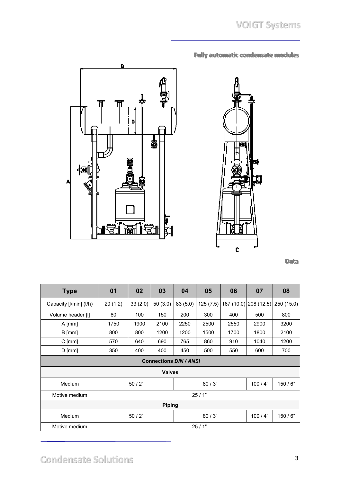





**Data**

| <b>Type</b>                 | 01      | 02      | 03      | 04      | 05       | 06   | 07                  | 08         |
|-----------------------------|---------|---------|---------|---------|----------|------|---------------------|------------|
| Capacity [I/min] (t/h)      | 20(1,2) | 33(2,0) | 50(3,0) | 83(5,0) | 125(7,5) |      | 167(10,0) 208(12,5) | 250 (15,0) |
| Volume header [I]           | 80      | 100     | 150     | 200     | 300      | 400  | 500                 | 800        |
| $A$ [mm]                    | 1750    | 1900    | 2100    | 2250    | 2500     | 2550 | 2900                | 3200       |
| B [mm]                      | 800     | 800     | 1200    | 1200    | 1500     | 1700 | 1800                | 2100       |
| $C$ [mm]                    | 570     | 640     | 690     | 765     | 860      | 910  | 1040                | 1200       |
| $D$ [mm]                    | 350     | 400     | 400     | 450     | 500      | 550  | 600                 | 700        |
| <b>Connections DIN/ANSI</b> |         |         |         |         |          |      |                     |            |
| <b>Valves</b>               |         |         |         |         |          |      |                     |            |
| Medium                      | 50/2"   |         |         | 80/3"   |          |      | 100/4"              | 150/6"     |
| Motive medium               | 25/1"   |         |         |         |          |      |                     |            |
| <b>Piping</b>               |         |         |         |         |          |      |                     |            |
| Medium                      | 50/2"   |         |         | 80/3"   |          |      | 100/4"              | 150/6"     |
| Motive medium               | 25/1"   |         |         |         |          |      |                     |            |